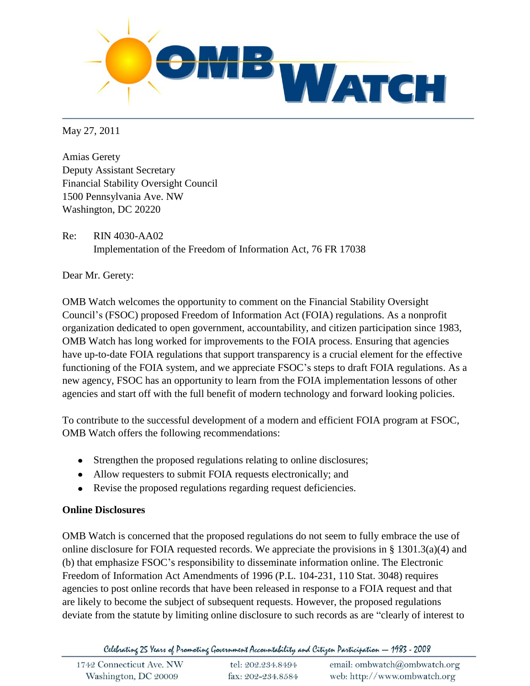

May 27, 2011

Amias Gerety Deputy Assistant Secretary Financial Stability Oversight Council 1500 Pennsylvania Ave. NW Washington, DC 20220

Re: RIN 4030-AA02 Implementation of the Freedom of Information Act, 76 FR 17038

Dear Mr. Gerety:

OMB Watch welcomes the opportunity to comment on the Financial Stability Oversight Council's (FSOC) proposed Freedom of Information Act (FOIA) regulations. As a nonprofit organization dedicated to open government, accountability, and citizen participation since 1983, OMB Watch has long worked for improvements to the FOIA process. Ensuring that agencies have up-to-date FOIA regulations that support transparency is a crucial element for the effective functioning of the FOIA system, and we appreciate FSOC's steps to draft FOIA regulations. As a new agency, FSOC has an opportunity to learn from the FOIA implementation lessons of other agencies and start off with the full benefit of modern technology and forward looking policies.

To contribute to the successful development of a modern and efficient FOIA program at FSOC, OMB Watch offers the following recommendations:

- Strengthen the proposed regulations relating to online disclosures;
- Allow requesters to submit FOIA requests electronically; and
- Revise the proposed regulations regarding request deficiencies.

## **Online Disclosures**

OMB Watch is concerned that the proposed regulations do not seem to fully embrace the use of online disclosure for FOIA requested records. We appreciate the provisions in § 1301.3(a)(4) and (b) that emphasize FSOC's responsibility to disseminate information online. The Electronic Freedom of Information Act Amendments of 1996 (P.L. 104-231, 110 Stat. 3048) requires agencies to post online records that have been released in response to a FOIA request and that are likely to become the subject of subsequent requests. However, the proposed regulations deviate from the statute by limiting online disclosure to such records as are "clearly of interest to

Celebrating 25 Years of Promoting Government Accountability and Citizen Participation - 1983 - 2008

| 1742 Connecticut Ave. NW | tel: 202.234.8494 | email: ombwatch@ombwatch.org |
|--------------------------|-------------------|------------------------------|
| Washington, DC 20009     | fax: 202-234.8584 | web: http://www.ombwatch.org |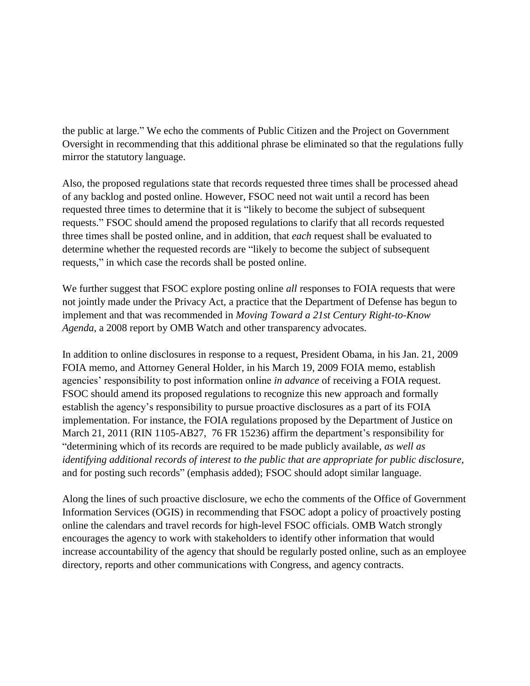the public at large." We echo the comments of Public Citizen and the Project on Government Oversight in recommending that this additional phrase be eliminated so that the regulations fully mirror the statutory language.

Also, the proposed regulations state that records requested three times shall be processed ahead of any backlog and posted online. However, FSOC need not wait until a record has been requested three times to determine that it is "likely to become the subject of subsequent requests." FSOC should amend the proposed regulations to clarify that all records requested three times shall be posted online, and in addition, that *each* request shall be evaluated to determine whether the requested records are "likely to become the subject of subsequent requests," in which case the records shall be posted online.

We further suggest that FSOC explore posting online *all* responses to FOIA requests that were not jointly made under the Privacy Act, a practice that the Department of Defense has begun to implement and that was recommended in *Moving Toward a 21st Century Right-to-Know Agenda*, a 2008 report by OMB Watch and other transparency advocates.

In addition to online disclosures in response to a request, President Obama, in his Jan. 21, 2009 FOIA memo, and Attorney General Holder, in his March 19, 2009 FOIA memo, establish agencies' responsibility to post information online *in advance* of receiving a FOIA request. FSOC should amend its proposed regulations to recognize this new approach and formally establish the agency's responsibility to pursue proactive disclosures as a part of its FOIA implementation. For instance, the FOIA regulations proposed by the Department of Justice on March 21, 2011 (RIN 1105-AB27, 76 FR 15236) affirm the department's responsibility for "determining which of its records are required to be made publicly available, *as well as identifying additional records of interest to the public that are appropriate for public disclosure*, and for posting such records" (emphasis added); FSOC should adopt similar language.

Along the lines of such proactive disclosure, we echo the comments of the Office of Government Information Services (OGIS) in recommending that FSOC adopt a policy of proactively posting online the calendars and travel records for high-level FSOC officials. OMB Watch strongly encourages the agency to work with stakeholders to identify other information that would increase accountability of the agency that should be regularly posted online, such as an employee directory, reports and other communications with Congress, and agency contracts.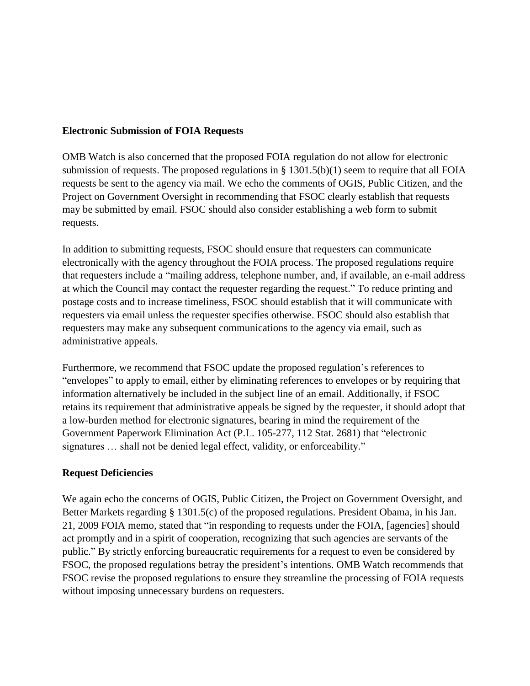## **Electronic Submission of FOIA Requests**

OMB Watch is also concerned that the proposed FOIA regulation do not allow for electronic submission of requests. The proposed regulations in § 1301.5(b)(1) seem to require that all FOIA requests be sent to the agency via mail. We echo the comments of OGIS, Public Citizen, and the Project on Government Oversight in recommending that FSOC clearly establish that requests may be submitted by email. FSOC should also consider establishing a web form to submit requests.

In addition to submitting requests, FSOC should ensure that requesters can communicate electronically with the agency throughout the FOIA process. The proposed regulations require that requesters include a "mailing address, telephone number, and, if available, an e-mail address at which the Council may contact the requester regarding the request." To reduce printing and postage costs and to increase timeliness, FSOC should establish that it will communicate with requesters via email unless the requester specifies otherwise. FSOC should also establish that requesters may make any subsequent communications to the agency via email, such as administrative appeals.

Furthermore, we recommend that FSOC update the proposed regulation's references to "envelopes" to apply to email, either by eliminating references to envelopes or by requiring that information alternatively be included in the subject line of an email. Additionally, if FSOC retains its requirement that administrative appeals be signed by the requester, it should adopt that a low-burden method for electronic signatures, bearing in mind the requirement of the Government Paperwork Elimination Act (P.L. 105-277, 112 Stat. 2681) that "electronic signatures ... shall not be denied legal effect, validity, or enforceability."

## **Request Deficiencies**

We again echo the concerns of OGIS, Public Citizen, the Project on Government Oversight, and Better Markets regarding § 1301.5(c) of the proposed regulations. President Obama, in his Jan. 21, 2009 FOIA memo, stated that "in responding to requests under the FOIA, [agencies] should act promptly and in a spirit of cooperation, recognizing that such agencies are servants of the public." By strictly enforcing bureaucratic requirements for a request to even be considered by FSOC, the proposed regulations betray the president's intentions. OMB Watch recommends that FSOC revise the proposed regulations to ensure they streamline the processing of FOIA requests without imposing unnecessary burdens on requesters.